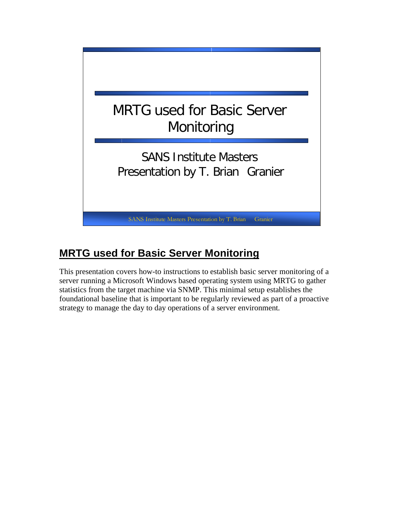

# **MRTG used for Basic Server Monitoring**

This presentation covers how-to instructions to establish basic server monitoring of a server running a Microsoft Windows based operating system using MRTG to gather statistics from the target machine via SNMP. This minimal setup establishes the foundational baseline that is important to be regularly reviewed as part of a proactive strategy to manage the day to day operations of a server environment.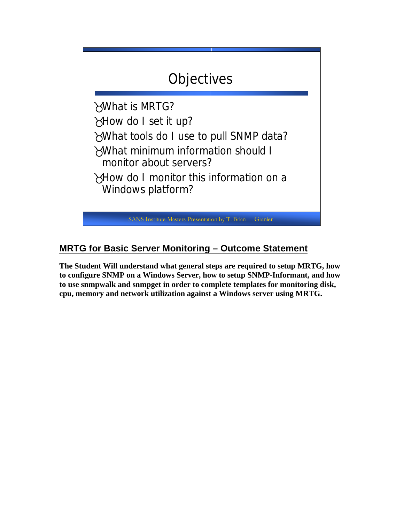

# **MRTG for Basic Server Monitoring – Outcome Statement**

**The Student Will understand what general steps are required to setup MRTG, how to configure SNMP on a Windows Server, how to setup SNMP-Informant, and how to use snmpwalk and snmpget in order to complete templates for monitoring disk, cpu, memory and network utilization against a Windows server using MRTG.**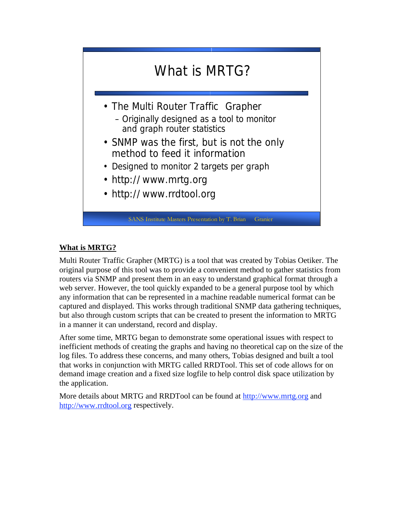

## **What is MRTG?**

Multi Router Traffic Grapher (MRTG) is a tool that was created by Tobias Oetiker. The original purpose of this tool was to provide a convenient method to gather statistics from routers via SNMP and present them in an easy to understand graphical format through a web server. However, the tool quickly expanded to be a general purpose tool by which any information that can be represented in a machine readable numerical format can be captured and displayed. This works through traditional SNMP data gathering techniques, but also through custom scripts that can be created to present the information to MRTG in a manner it can understand, record and display.

After some time, MRTG began to demonstrate some operational issues with respect to inefficient methods of creating the graphs and having no theoretical cap on the size of the log files. To address these concerns, and many others, Tobias designed and built a tool that works in conjunction with MRTG called RRDTool. This set of code allows for on demand image creation and a fixed size logfile to help control disk space utilization by the application.

More details about MRTG and RRDTool can be found at http://www.mrtg.org and http://www.rrdtool.org respectively.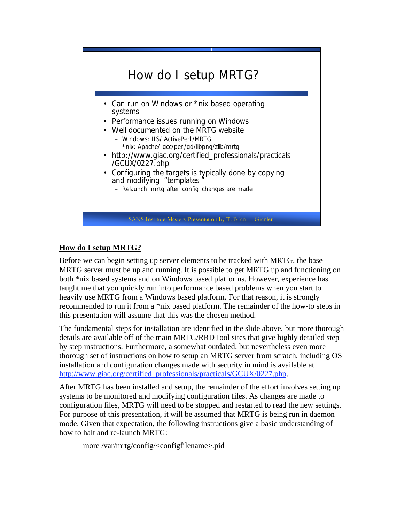

## **How do I setup MRTG?**

Before we can begin setting up server elements to be tracked with MRTG, the base MRTG server must be up and running. It is possible to get MRTG up and functioning on both \*nix based systems and on Windows based platforms. However, experience has taught me that you quickly run into performance based problems when you start to heavily use MRTG from a Windows based platform. For that reason, it is strongly recommended to run it from a \*nix based platform. The remainder of the how-to steps in this presentation will assume that this was the chosen method.

The fundamental steps for installation are identified in the slide above, but more thorough details are available off of the main MRTG/RRDTool sites that give highly detailed step by step instructions. Furthermore, a somewhat outdated, but nevertheless even more thorough set of instructions on how to setup an MRTG server from scratch, including OS installation and configuration changes made with security in mind is available at http://www.giac.org/certified\_professionals/practicals/GCUX/0227.php.

After MRTG has been installed and setup, the remainder of the effort involves setting up systems to be monitored and modifying configuration files. As changes are made to configuration files, MRTG will need to be stopped and restarted to read the new settings. For purpose of this presentation, it will be assumed that MRTG is being run in daemon mode. Given that expectation, the following instructions give a basic understanding of how to halt and re-launch MRTG:

more /var/mrtg/config/<configfilename>.pid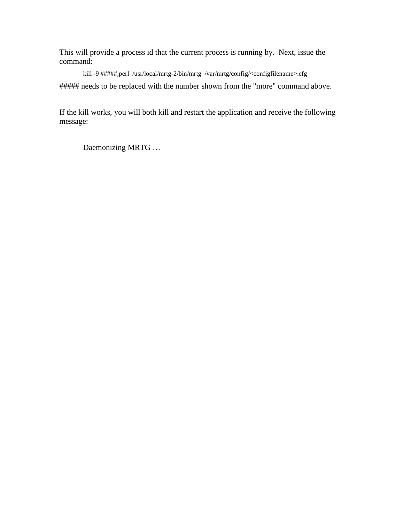This will provide a process id that the current process is running by. Next, issue the command:

kill -9 #####;perl /usr/local/mrtg-2/bin/mrtg /var/mrtg/config/<configfilename>.cfg ##### needs to be replaced with the number shown from the "more" command above.

If the kill works, you will both kill and restart the application and receive the following message:

Daemonizing MRTG …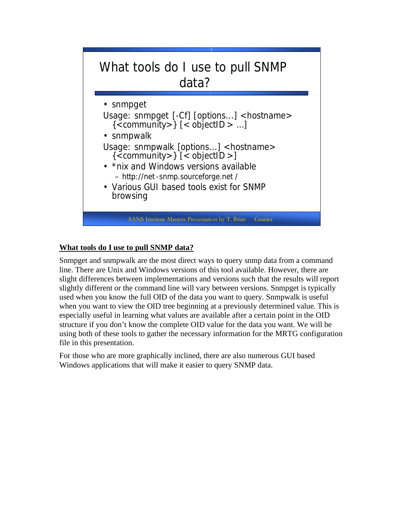

## **What tools do I use to pull SNMP data?**

Snmpget and snmpwalk are the most direct ways to query snmp data from a command line. There are Unix and Windows versions of this tool available. However, there are slight differences between implementations and versions such that the results will report slightly different or the command line will vary between versions. Snmpget is typically used when you know the full OID of the data you want to query. Snmpwalk is useful when you want to view the OID tree beginning at a previously determined value. This is especially useful in learning what values are available after a certain point in the OID structure if you don't know the complete OID value for the data you want. We will be using both of these tools to gather the necessary information for the MRTG configuration file in this presentation.

For those who are more graphically inclined, there are also numerous GUI based Windows applications that will make it easier to query SNMP data.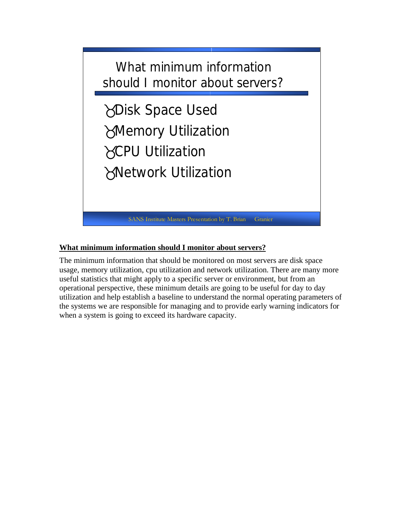

#### **What minimum information should I monitor about servers?**

The minimum information that should be monitored on most servers are disk space usage, memory utilization, cpu utilization and network utilization. There are many more useful statistics that might apply to a specific server or environment, but from an operational perspective, these minimum details are going to be useful for day to day utilization and help establish a baseline to understand the normal operating parameters of the systems we are responsible for managing and to provide early warning indicators for when a system is going to exceed its hardware capacity.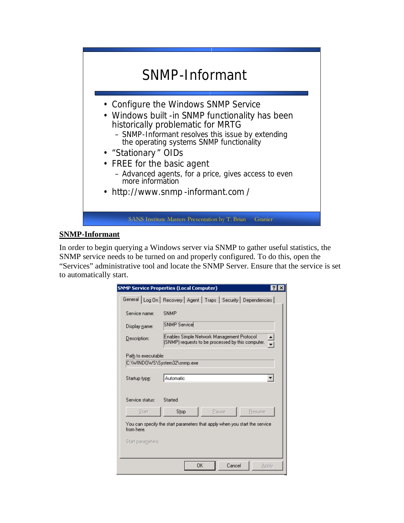

#### **SNMP-Informant**

In order to begin querying a Windows server via SNMP to gather useful statistics, the SNMP service needs to be turned on and properly configured. To do this, open the "Services" administrative tool and locate the SNMP Server. Ensure that the service is set to automatically start.

|                                                                                           | <b>SNMP Service Properties (Local Computer)</b>                                                 |  |
|-------------------------------------------------------------------------------------------|-------------------------------------------------------------------------------------------------|--|
|                                                                                           | General   Log On   Recovery   Agent   Traps   Security   Dependencies                           |  |
| Service name:                                                                             | <b>SNMP</b>                                                                                     |  |
| Display name:                                                                             | SNMP Service                                                                                    |  |
| Description:                                                                              | Enables Simple Network Management Protocol<br>(SNMP) requests to be processed by this computer. |  |
| Path to executable:<br>C:\WINDOWS\System32\snmp.exe                                       |                                                                                                 |  |
| Startup type:                                                                             | Automatic                                                                                       |  |
| Service status:                                                                           | Started                                                                                         |  |
| Start                                                                                     | Stop<br>Pause<br><b>Resume</b>                                                                  |  |
| You can specify the start parameters that apply when you start the service.<br>from here. |                                                                                                 |  |
| Start parameters:                                                                         |                                                                                                 |  |
|                                                                                           | OK<br>Cancel<br>Apply                                                                           |  |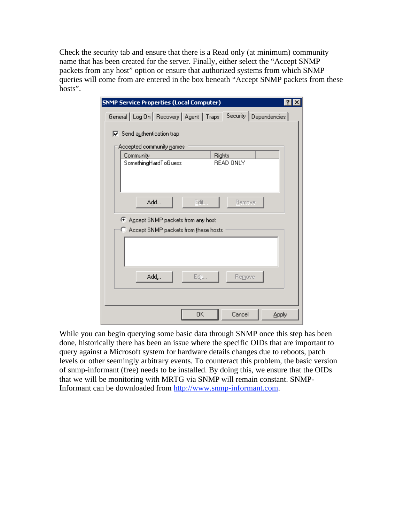Check the security tab and ensure that there is a Read only (at minimum) community name that has been created for the server. Finally, either select the "Accept SNMP packets from any host" option or ensure that authorized systems from which SNMP queries will come from are entered in the box beneath "Accept SNMP packets from these hosts".

| <b>SNMP Service Properties (Local Computer)</b><br> 2                                                                                              |  |  |  |
|----------------------------------------------------------------------------------------------------------------------------------------------------|--|--|--|
| Security Dependencies<br>General Log On Recovery Agent Traps                                                                                       |  |  |  |
| $\overline{\nabla}$ Send authentication trap<br>Accepted community names<br>Community<br><b>Rights</b><br>SomethingHardToGuess<br><b>READ ONLY</b> |  |  |  |
| Add<br>Edit<br>Remove<br>G.<br>Accept SNMP packets from any host<br>Accept SNMP packets from these hosts<br>О                                      |  |  |  |
| Edjt<br>Add<br>Remove                                                                                                                              |  |  |  |
| OΚ<br>Cancel<br>Apply                                                                                                                              |  |  |  |

While you can begin querying some basic data through SNMP once this step has been done, historically there has been an issue where the specific OIDs that are important to query against a Microsoft system for hardware details changes due to reboots, patch levels or other seemingly arbitrary events. To counteract this problem, the basic version of snmp-informant (free) needs to be installed. By doing this, we ensure that the OIDs that we will be monitoring with MRTG via SNMP will remain constant. SNMP-Informant can be downloaded from http://www.snmp-informant.com.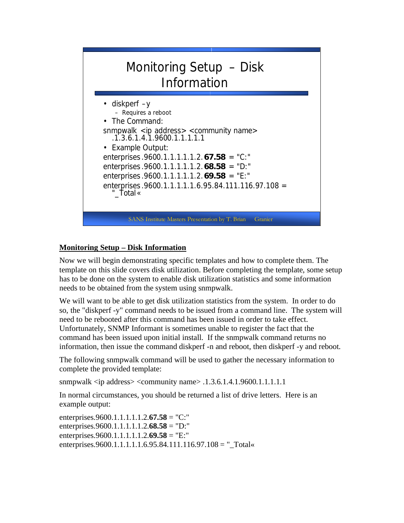

#### **Monitoring Setup – Disk Information**

Now we will begin demonstrating specific templates and how to complete them. The template on this slide covers disk utilization. Before completing the template, some setup has to be done on the system to enable disk utilization statistics and some information needs to be obtained from the system using snmpwalk.

We will want to be able to get disk utilization statistics from the system. In order to do so, the "diskperf -y" command needs to be issued from a command line. The system will need to be rebooted after this command has been issued in order to take effect. Unfortunately, SNMP Informant is sometimes unable to register the fact that the command has been issued upon initial install. If the snmpwalk command returns no information, then issue the command diskperf -n and reboot, then diskperf -y and reboot.

The following snmpwalk command will be used to gather the necessary information to complete the provided template:

snmpwalk  $\langle$ ip address $>$  $\langle$ community name $>$ .1.3.6.1.4.1.9600.1.1.1.1.1.1.1.1

In normal circumstances, you should be returned a list of drive letters. Here is an example output:

enterprises.9600.1.1.1.1.1.2.**67.58** = "C:" enterprises.9600.1.1.1.1.1.2.**68.58** = "D:" enterprises.9600.1.1.1.1.1.2.**69.58** = "E:" enterprises.9600.1.1.1.1.1.6.95.84.111.116.97.108 = "\_Total«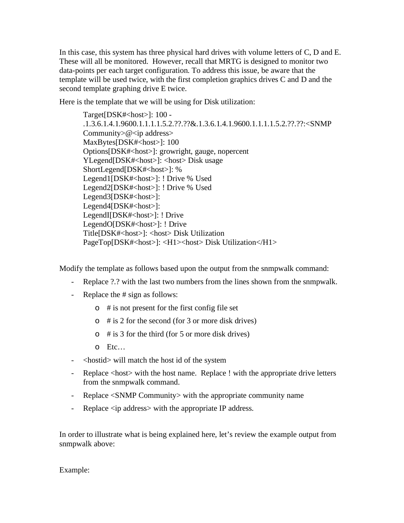In this case, this system has three physical hard drives with volume letters of C, D and E. These will all be monitored. However, recall that MRTG is designed to monitor two data-points per each target configuration. To address this issue, be aware that the template will be used twice, with the first completion graphics drives C and D and the second template graphing drive E twice.

Here is the template that we will be using for Disk utilization:

Target[DSK#<host>]: 100 -.1.3.6.1.4.1.9600.1.1.1.1.5.2.??.??&.1.3.6.1.4.1.9600.1.1.1.1.5.2.??.??:<SNMP Community $\geq$ @ $\lt$ ip address $>$ MaxBytes[DSK#<host>]: 100 Options[DSK#<host>]: growright, gauge, nopercent YLegend[DSK#<host>]: <host> Disk usage ShortLegend[DSK#<host>]: % Legend1[DSK#<host>]: ! Drive % Used Legend2[DSK#<host>]: ! Drive % Used Legend3[DSK#<host>]: Legend4[DSK#<host>]: LegendI[DSK#<host>]: ! Drive LegendO[DSK#<host>]: ! Drive Title[DSK#<host>]: <host> Disk Utilization PageTop[DSK#<host>]: <H1><host> Disk Utilization</H1>

Modify the template as follows based upon the output from the snmpwalk command:

- Replace ?.? with the last two numbers from the lines shown from the snmpwalk.
- Replace the # sign as follows:
	- $\circ$  # is not present for the first config file set
	- $\circ$  # is 2 for the second (for 3 or more disk drives)
	- $\circ$  # is 3 for the third (for 5 or more disk drives)
	- o Etc…
- <hostid> will match the host id of the system
- Replace <host> with the host name. Replace ! with the appropriate drive letters from the snmpwalk command.
- Replace <SNMP Community> with the appropriate community name
- Replace <ip address> with the appropriate IP address.

In order to illustrate what is being explained here, let's review the example output from snmpwalk above:

Example: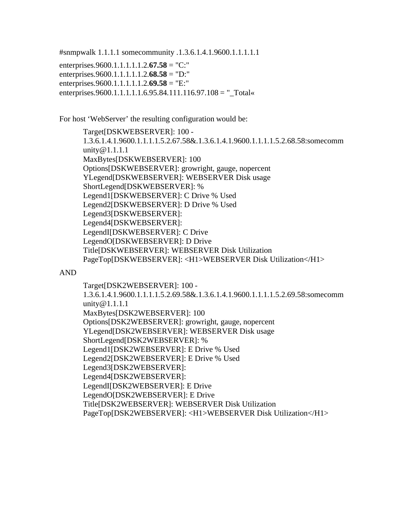#snmpwalk 1.1.1.1 somecommunity .1.3.6.1.4.1.9600.1.1.1.1.1 enterprises.9600.1.1.1.1.1.2.**67.58** = "C:" enterprises.9600.1.1.1.1.1.2.**68.58** = "D:" enterprises.9600.1.1.1.1.1.2.**69.58** = "E:" enterprises.9600.1.1.1.1.1.6.95.84.111.116.97.108 = " $Total$ 

For host 'WebServer' the resulting configuration would be:

Target[DSKWEBSERVER]: 100 - 1.3.6.1.4.1.9600.1.1.1.1.5.2.67.58&.1.3.6.1.4.1.9600.1.1.1.1.5.2.68.58:somecomm unity @ 1.1.1.1 MaxBytes[DSKWEBSERVER]: 100 Options[DSKWEBSERVER]: growright, gauge, nopercent YLegend[DSKWEBSERVER]: WEBSERVER Disk usage ShortLegend[DSKWEBSERVER]: % Legend1[DSKWEBSERVER]: C Drive % Used Legend2[DSKWEBSERVER]: D Drive % Used Legend3[DSKWEBSERVER]: Legend4[DSKWEBSERVER]: LegendI[DSKWEBSERVER]: C Drive LegendO[DSKWEBSERVER]: D Drive Title[DSKWEBSERVER]: WEBSERVER Disk Utilization PageTop[DSKWEBSERVER]: <H1>WEBSERVER Disk Utilization</H1>

#### AND

Target[DSK2WEBSERVER]: 100 - 1.3.6.1.4.1.9600.1.1.1.1.5.2.69.58&.1.3.6.1.4.1.9600.1.1.1.1.5.2.69.58:somecomm unity@1.1.1.1 MaxBytes[DSK2WEBSERVER]: 100 Options[DSK2WEBSERVER]: growright, gauge, nopercent YLegend[DSK2WEBSERVER]: WEBSERVER Disk usage ShortLegend[DSK2WEBSERVER]: % Legend1[DSK2WEBSERVER]: E Drive % Used Legend2[DSK2WEBSERVER]: E Drive % Used Legend3[DSK2WEBSERVER]: Legend4[DSK2WEBSERVER]: LegendI[DSK2WEBSERVER]: E Drive LegendO[DSK2WEBSERVER]: E Drive Title[DSK2WEBSERVER]: WEBSERVER Disk Utilization PageTop[DSK2WEBSERVER]: <H1>WEBSERVER Disk Utilization</H1>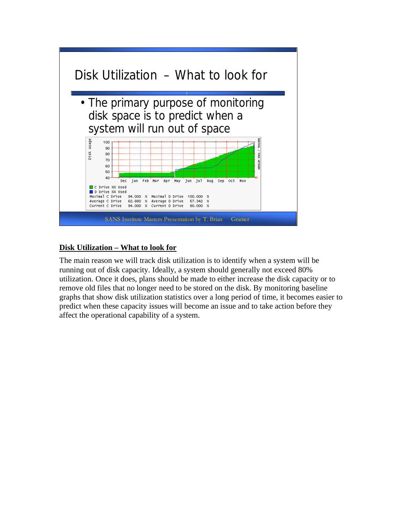

## **Disk Utilization – What to look for**

The main reason we will track disk utilization is to identify when a system will be running out of disk capacity. Ideally, a system should generally not exceed 80% utilization. Once it does, plans should be made to either increase the disk capacity or to remove old files that no longer need to be stored on the disk. By monitoring baseline graphs that show disk utilization statistics over a long period of time, it becomes easier to predict when these capacity issues will become an issue and to take action before they affect the operational capability of a system.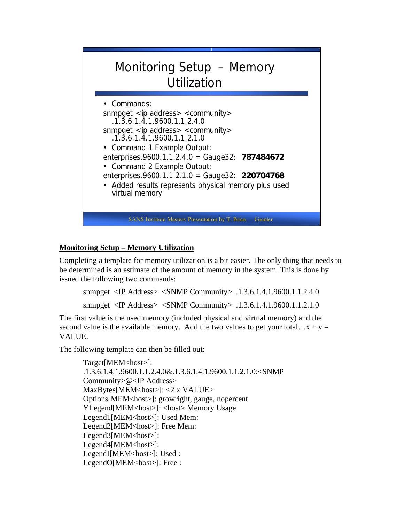

## **Monitoring Setup – Memory Utilization**

Completing a template for memory utilization is a bit easier. The only thing that needs to be determined is an estimate of the amount of memory in the system. This is done by issued the following two commands:

```
snmpget <IP Address> <SNMP Community> .1.3.6.1.4.1.9600.1.1.2.4.0 
snmpget <IP Address> <SNMP Community> .1.3.6.1.4.1.9600.1.1.2.1.0
```
The first value is the used memory (included physical and virtual memory) and the second value is the available memory. Add the two values to get your total… $x + y =$ VALUE.

The following template can then be filled out:

```
Target[MEM<host>]:
.1.3.6.1.4.1.9600.1.1.2.4.0&.1.3.6.1.4.1.9600.1.1.2.1.0:<SNMP 
Community>@<IP Address> 
MaxBytes[MEM<host>]: <2 x VALUE>
Options[MEM<host>]: growright, gauge, nopercent 
YLegend[MEM<host>]: <host> Memory Usage
Legend1[MEM<host>]: Used Mem:
Legend2[MEM<host>]: Free Mem:
Legend3[MEM<host>]:
Legend4[MEM<host>]:
LegendI[MEM<host>]: Used :
LegendO[MEM<host>]: Free :
```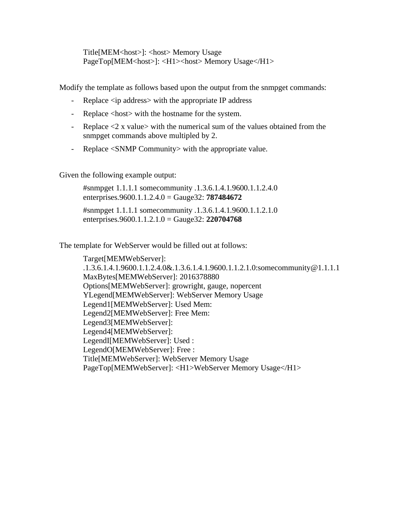Title[MEM<host>]: <host> Memory Usage PageTop[MEM<host>]: <H1><host> Memory Usage</H1>

Modify the template as follows based upon the output from the snmpget commands:

- Replace <ip address> with the appropriate IP address
- Replace <host> with the hostname for the system.
- Replace  $\leq 2$  x value with the numerical sum of the values obtained from the snmpget commands above multipled by 2.
- Replace <SNMP Community> with the appropriate value.

Given the following example output:

#snmpget 1.1.1.1 somecommunity .1.3.6.1.4.1.9600.1.1.2.4.0 enterprises.9600.1.1.2.4.0 = Gauge32: **787484672**  #snmpget 1.1.1.1 somecommunity .1.3.6.1.4.1.9600.1.1.2.1.0 enterprises.9600.1.1.2.1.0 = Gauge32: **220704768**

The template for WebServer would be filled out at follows:

Target[MEMWebServer]: .1.3.6.1.4.1.9600.1.1.2.4.0&.1.3.6.1.4.1.9600.1.1.2.1.0:somecommunity@1.1.1.1 MaxBytes[MEMWebServer]: 2016378880 Options[MEMWebServer]: growright, gauge, nopercent YLegend[MEMWebServer]: WebServer Memory Usage Legend1[MEMWebServer]: Used Mem: Legend2[MEMWebServer]: Free Mem: Legend3[MEMWebServer]: Legend4[MEMWebServer]: LegendI[MEMWebServer]: Used : LegendO[MEMWebServer]: Free : Title[MEMWebServer]: WebServer Memory Usage PageTop[MEMWebServer]: <H1>WebServer Memory Usage</H1>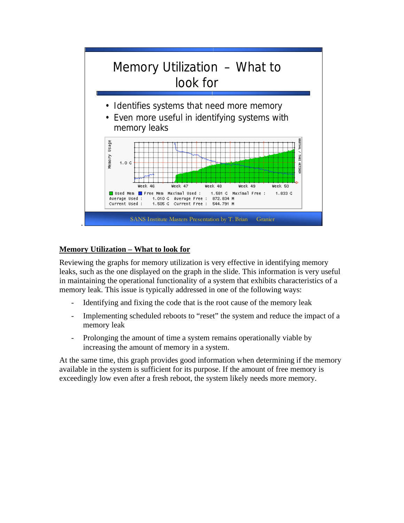

# **Memory Utilization – What to look for**

Reviewing the graphs for memory utilization is very effective in identifying memory leaks, such as the one displayed on the graph in the slide. This information is very useful in maintaining the operational functionality of a system that exhibits characteristics of a memory leak. This issue is typically addressed in one of the following ways:

- Identifying and fixing the code that is the root cause of the memory leak
- Implementing scheduled reboots to "reset" the system and reduce the impact of a memory leak
- Prolonging the amount of time a system remains operationally viable by increasing the amount of memory in a system.

At the same time, this graph provides good information when determining if the memory available in the system is sufficient for its purpose. If the amount of free memory is exceedingly low even after a fresh reboot, the system likely needs more memory.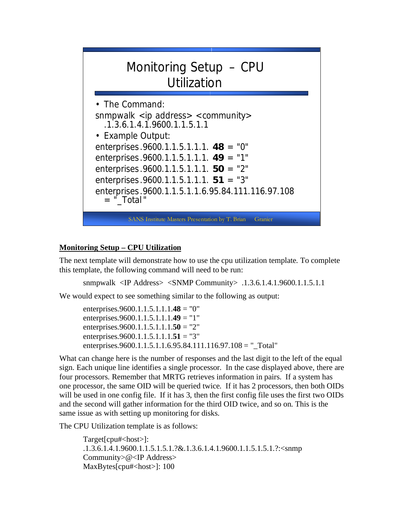

#### **Monitoring Setup – CPU Utilization**

The next template will demonstrate how to use the cpu utilization template. To complete this template, the following command will need to be run:

snmpwalk <IP Address> <SNMP Community> .1.3.6.1.4.1.9600.1.1.5.1.1

We would expect to see something similar to the following as output:

enterprises.9600.1.1.5.1.1.1.**48** = "0" enterprises.9600.1.1.5.1.1.1.**49** = "1" enterprises.9600.1.1.5.1.1.1.**50** = "2" enterprises.9600.1.1.5.1.1.1.**51** = "3" enterprises.9600.1.1.5.1.1.6.95.84.111.116.97.108 = "\_Total"

What can change here is the number of responses and the last digit to the left of the equal sign. Each unique line identifies a single processor. In the case displayed above, there are four processors. Remember that MRTG retrieves information in pairs. If a system has one processor, the same OID will be queried twice. If it has 2 processors, then both OIDs will be used in one config file. If it has 3, then the first config file uses the first two OIDs and the second will gather information for the third OID twice, and so on. This is the same issue as with setting up monitoring for disks.

The CPU Utilization template is as follows:

Target[cpu#<host>]: .1.3.6.1.4.1.9600.1.1.5.1.5.1.?&.1.3.6.1.4.1.9600.1.1.5.1.5.1.?:<snmp Community>@<IP Address> MaxBytes[cpu#<host>]: 100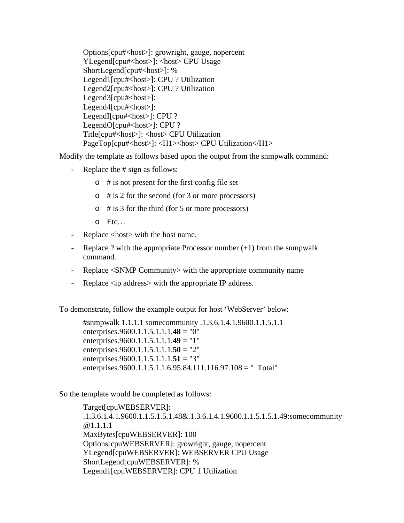Options[cpu#<host>]: growright, gauge, nopercent YLegend[cpu#<host>]: <host> CPU Usage ShortLegend[cpu#<host>]: % Legend1[cpu#<host>]: CPU ? Utilization Legend2[cpu#<host>]: CPU ? Utilization Legend3[cpu#<host>]: Legend4[cpu#<host>]: LegendI[cpu#<host>]: CPU ? LegendO[cpu#<host>]: CPU ? Title[cpu#<host>]: <host> CPU Utilization PageTop[cpu#<host>]: <H1><host> CPU Utilization</H1>

Modify the template as follows based upon the output from the snmpwalk command:

- Replace the # sign as follows:
	- $\circ$  # is not present for the first config file set
	- o # is 2 for the second (for 3 or more processors)
	- $\circ$  # is 3 for the third (for 5 or more processors)
	- o Etc…
- Replace <host> with the host name.
- Replace ? with the appropriate Processor number  $(+1)$  from the snmpwalk command.
- Replace <SNMP Community> with the appropriate community name
- Replace <ip address> with the appropriate IP address.

To demonstrate, follow the example output for host 'WebServer' below:

#snmpwalk 1.1.1.1 somecommunity .1.3.6.1.4.1.9600.1.1.5.1.1 enterprises.9600.1.1.5.1.1.1.**48** = "0" enterprises.9600.1.1.5.1.1.1.**49** = "1" enterprises.9600.1.1.5.1.1.1.**50** = "2" enterprises.9600.1.1.5.1.1.1.**51** = "3" enterprises.9600.1.1.5.1.1.6.95.84.111.116.97.108 = "\_Total"

So the template would be completed as follows:

Target[cpuWEBSERVER]: .1.3.6.1.4.1.9600.1.1.5.1.5.1.48&.1.3.6.1.4.1.9600.1.1.5.1.5.1.49:somecommunity @1.1.1.1 MaxBytes[cpuWEBSERVER]: 100 Options[cpuWEBSERVER]: growright, gauge, nopercent YLegend[cpuWEBSERVER]: WEBSERVER CPU Usage ShortLegend[cpuWEBSERVER]: % Legend1[cpuWEBSERVER]: CPU 1 Utilization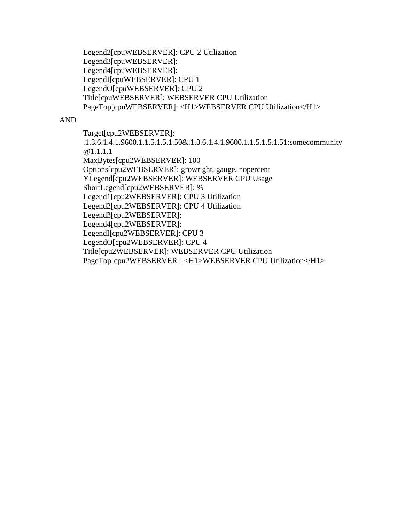Legend2[cpuWEBSERVER]: CPU 2 Utilization Legend3[cpuWEBSERVER]: Legend4[cpuWEBSERVER]: LegendI[cpuWEBSERVER]: CPU 1 LegendO[cpuWEBSERVER]: CPU 2 Title[cpuWEBSERVER]: WEBSERVER CPU Utilization PageTop[cpuWEBSERVER]: <H1>WEBSERVER CPU Utilization</H1>

#### AND

Target[cpu2WEBSERVER]: .1.3.6.1.4.1.9600.1.1.5.1.5.1.50&.1.3.6.1.4.1.9600.1.1.5.1.5.1.51:somecommunity @1.1.1.1 MaxBytes[cpu2WEBSERVER]: 100 Options[cpu2WEBSERVER]: growright, gauge, nopercent YLegend[cpu2WEBSERVER]: WEBSERVER CPU Usage ShortLegend[cpu2WEBSERVER]: % Legend1[cpu2WEBSERVER]: CPU 3 Utilization Legend2[cpu2WEBSERVER]: CPU 4 Utilization Legend3[cpu2WEBSERVER]: Legend4[cpu2WEBSERVER]: LegendI[cpu2WEBSERVER]: CPU 3 LegendO[cpu2WEBSERVER]: CPU 4 Title[cpu2WEBSERVER]: WEBSERVER CPU Utilization PageTop[cpu2WEBSERVER]: <H1>WEBSERVER CPU Utilization</H1>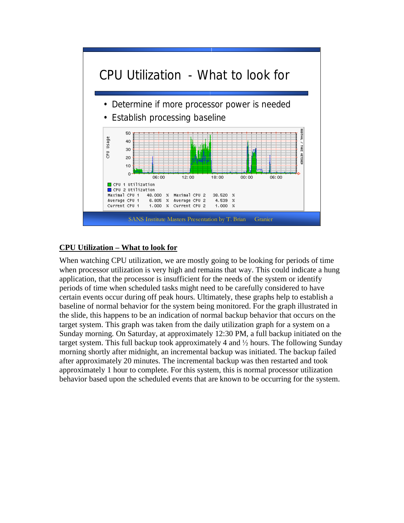

#### **CPU Utilization – What to look for**

When watching CPU utilization, we are mostly going to be looking for periods of time when processor utilization is very high and remains that way. This could indicate a hung application, that the processor is insufficient for the needs of the system or identify periods of time when scheduled tasks might need to be carefully considered to have certain events occur during off peak hours. Ultimately, these graphs help to establish a baseline of normal behavior for the system being monitored. For the graph illustrated in the slide, this happens to be an indication of normal backup behavior that occurs on the target system. This graph was taken from the daily utilization graph for a system on a Sunday morning. On Saturday, at approximately 12:30 PM, a full backup initiated on the target system. This full backup took approximately 4 and  $\frac{1}{2}$  hours. The following Sunday morning shortly after midnight, an incremental backup was initiated. The backup failed after approximately 20 minutes. The incremental backup was then restarted and took approximately 1 hour to complete. For this system, this is normal processor utilization behavior based upon the scheduled events that are known to be occurring for the system.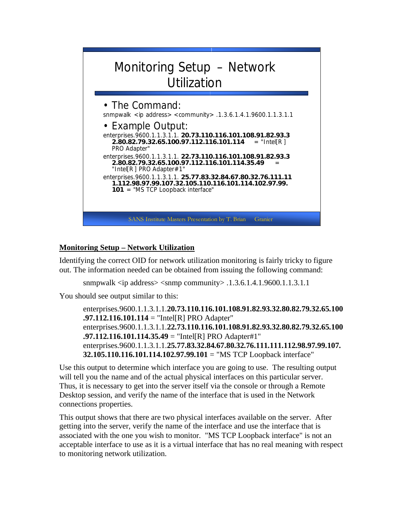

## **Monitoring Setup – Network Utilization**

Identifying the correct OID for network utilization monitoring is fairly tricky to figure out. The information needed can be obtained from issuing the following command:

snmpwalk  $\langle$ ip address $>$  $\langle$ snmp community $>$ .1.3.6.1.4.1.9600.1.1.3.1.1

You should see output similar to this:

enterprises.9600.1.1.3.1.1.**20.73.110.116.101.108.91.82.93.32.80.82.79.32.65.100 .97.112.116.101.114** = "Intel[R] PRO Adapter" enterprises.9600.1.1.3.1.1.**22.73.110.116.101.108.91.82.93.32.80.82.79.32.65.100 .97.112.116.101.114.35.49** = "Intel[R] PRO Adapter#1" enterprises.9600.1.1.3.1.1.**25.77.83.32.84.67.80.32.76.111.111.112.98.97.99.107. 32.105.110.116.101.114.102.97.99.101** = "MS TCP Loopback interface"

Use this output to determine which interface you are going to use. The resulting output will tell you the name and of the actual physical interfaces on this particular server. Thus, it is necessary to get into the server itself via the console or through a Remote Desktop session, and verify the name of the interface that is used in the Network connections properties.

This output shows that there are two physical interfaces available on the server. After getting into the server, verify the name of the interface and use the interface that is associated with the one you wish to monitor. "MS TCP Loopback interface" is not an acceptable interface to use as it is a virtual interface that has no real meaning with respect to monitoring network utilization.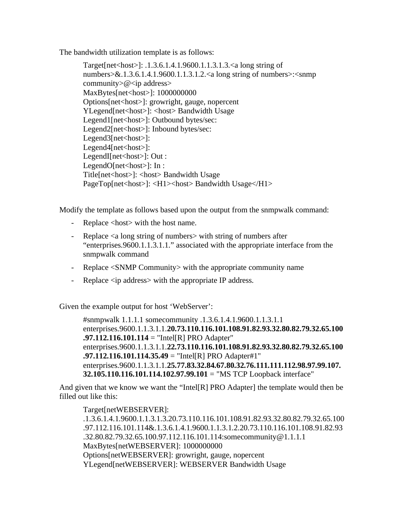The bandwidth utilization template is as follows:

Target[net<host>]: .1.3.6.1.4.1.9600.1.1.3.1.3.<a long string of numbers>&.1.3.6.1.4.1.9600.1.1.3.1.2.<a long string of numbers>:<snmp community $\geq 0$  <ip address> MaxBytes[net<host>]: 1000000000 Options[net<host>]: growright, gauge, nopercent YLegend[net<host>]: <host> Bandwidth Usage Legend1[net<host>]: Outbound bytes/sec: Legend2[net<host>]: Inbound bytes/sec: Legend3[net<host>]:  $Legend4[net$ ]: LegendI[net<host>]: Out : LegendO[net<host>]: In : Title[net<host>]: <host> Bandwidth Usage PageTop[net<host>]: <H1><host> Bandwidth Usage</H1>

Modify the template as follows based upon the output from the snmpwalk command:

- Replace <host> with the host name.
- Replace  $\leq a$  long string of numbers with string of numbers after "enterprises.9600.1.1.3.1.1." associated with the appropriate interface from the snmpwalk command
- Replace <SNMP Community> with the appropriate community name
- Replace <ip address> with the appropriate IP address.

Given the example output for host 'WebServer':

#snmpwalk 1.1.1.1 somecommunity .1.3.6.1.4.1.9600.1.1.3.1.1 enterprises.9600.1.1.3.1.1.**20.73.110.116.101.108.91.82.93.32.80.82.79.32.65.100 .97.112.116.101.114** = "Intel[R] PRO Adapter" enterprises.9600.1.1.3.1.1.**22.73.110.116.101.108.91.82.93.32.80.82.79.32.65.100 .97.112.116.101.114.35.49** = "Intel[R] PRO Adapter#1" enterprises.9600.1.1.3.1.1.**25.77.83.32.84.67.80.32.76.111.111.112.98.97.99.107. 32.105.110.116.101.114.102.97.99.101** = "MS TCP Loopback interface"

And given that we know we want the "Intel[R] PRO Adapter] the template would then be filled out like this:

Target[netWEBSERVER]: .1.3.6.1.4.1.9600.1.1.3.1.3.20.73.110.116.101.108.91.82.93.32.80.82.79.32.65.100 .97.112.116.101.114&.1.3.6.1.4.1.9600.1.1.3.1.2.20.73.110.116.101.108.91.82.93 .32.80.82.79.32.65.100.97.112.116.101.114:somecommunity@1.1.1.1 MaxBytes[netWEBSERVER]: 1000000000 Options[netWEBSERVER]: growright, gauge, nopercent YLegend[netWEBSERVER]: WEBSERVER Bandwidth Usage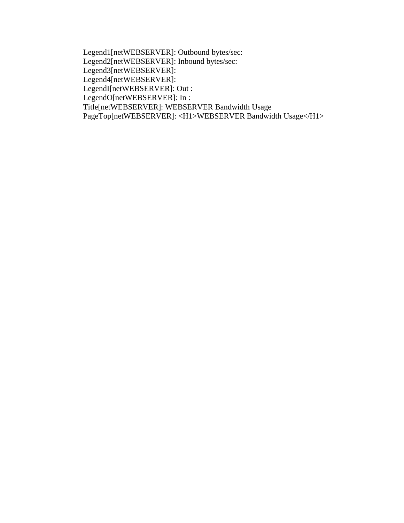Legend1[netWEBSERVER]: Outbound bytes/sec: Legend2[netWEBSERVER]: Inbound bytes/sec: Legend3[netWEBSERVER]: Legend4[netWEBSERVER]: LegendI[netWEBSERVER]: Out : LegendO[netWEBSERVER]: In : Title[netWEBSERVER]: WEBSERVER Bandwidth Usage PageTop[netWEBSERVER]: <H1>WEBSERVER Bandwidth Usage</H1>